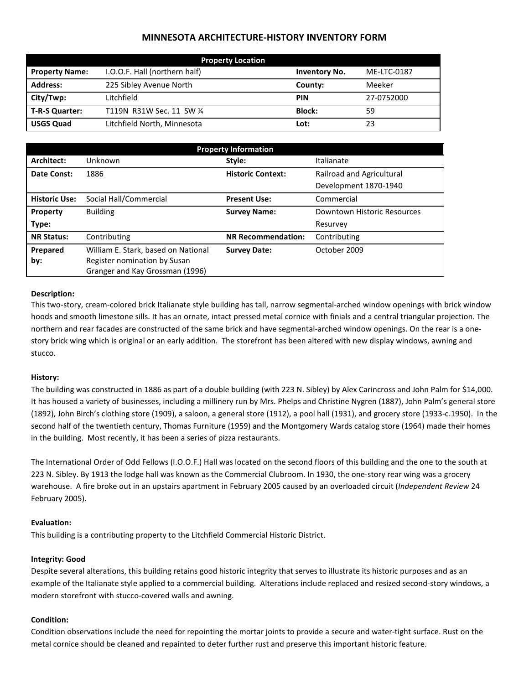# **MINNESOTA ARCHITECTURE-HISTORY INVENTORY FORM**

| <b>Property Location</b> |                               |                      |             |  |
|--------------------------|-------------------------------|----------------------|-------------|--|
| <b>Property Name:</b>    | I.O.O.F. Hall (northern half) | <b>Inventory No.</b> | ME-LTC-0187 |  |
| <b>Address:</b>          | 225 Sibley Avenue North       | County:              | Meeker      |  |
| City/Twp:                | Litchfield                    | <b>PIN</b>           | 27-0752000  |  |
| T-R-S Quarter:           | T119N R31W Sec. 11 SW 1/4     | <b>Block:</b>        | 59          |  |
| <b>USGS Quad</b>         | Litchfield North, Minnesota   | Lot:                 | 23          |  |

| <b>Property Information</b> |                                                                 |                           |                             |  |
|-----------------------------|-----------------------------------------------------------------|---------------------------|-----------------------------|--|
| Architect:                  | Unknown                                                         | Style:                    | Italianate                  |  |
| Date Const:                 | 1886                                                            | <b>Historic Context:</b>  | Railroad and Agricultural   |  |
|                             |                                                                 |                           | Development 1870-1940       |  |
| <b>Historic Use:</b>        | Social Hall/Commercial                                          | <b>Present Use:</b>       | Commercial                  |  |
| Property                    | <b>Building</b>                                                 | <b>Survey Name:</b>       | Downtown Historic Resources |  |
| Type:                       |                                                                 |                           | Resurvey                    |  |
| <b>NR Status:</b>           | Contributing                                                    | <b>NR Recommendation:</b> | Contributing                |  |
| Prepared                    | William E. Stark, based on National                             | <b>Survey Date:</b>       | October 2009                |  |
| by:                         | Register nomination by Susan<br>Granger and Kay Grossman (1996) |                           |                             |  |

### **Description:**

This two-story, cream-colored brick Italianate style building has tall, narrow segmental-arched window openings with brick window hoods and smooth limestone sills. It has an ornate, intact pressed metal cornice with finials and a central triangular projection. The northern and rear facades are constructed of the same brick and have segmental-arched window openings. On the rear is a onestory brick wing which is original or an early addition. The storefront has been altered with new display windows, awning and stucco.

## **History:**

The building was constructed in 1886 as part of a double building (with 223 N. Sibley) by Alex Carincross and John Palm for \$14,000. It has housed a variety of businesses, including a millinery run by Mrs. Phelps and Christine Nygren (1887), John Palm's general store (1892), John Birch's clothing store (1909), a saloon, a general store (1912), a pool hall (1931), and grocery store (1933-c.1950). In the second half of the twentieth century, Thomas Furniture (1959) and the Montgomery Wards catalog store (1964) made their homes in the building. Most recently, it has been a series of pizza restaurants.

The International Order of Odd Fellows (I.O.O.F.) Hall was located on the second floors of this building and the one to the south at 223 N. Sibley. By 1913 the lodge hall was known as the Commercial Clubroom. In 1930, the one-story rear wing was a grocery warehouse. A fire broke out in an upstairs apartment in February 2005 caused by an overloaded circuit (*Independent Review* 24 February 2005).

## **Evaluation:**

This building is a contributing property to the Litchfield Commercial Historic District.

## **Integrity: Good**

Despite several alterations, this building retains good historic integrity that serves to illustrate its historic purposes and as an example of the Italianate style applied to a commercial building. Alterations include replaced and resized second-story windows, a modern storefront with stucco-covered walls and awning.

## **Condition:**

Condition observations include the need for repointing the mortar joints to provide a secure and water-tight surface. Rust on the metal cornice should be cleaned and repainted to deter further rust and preserve this important historic feature.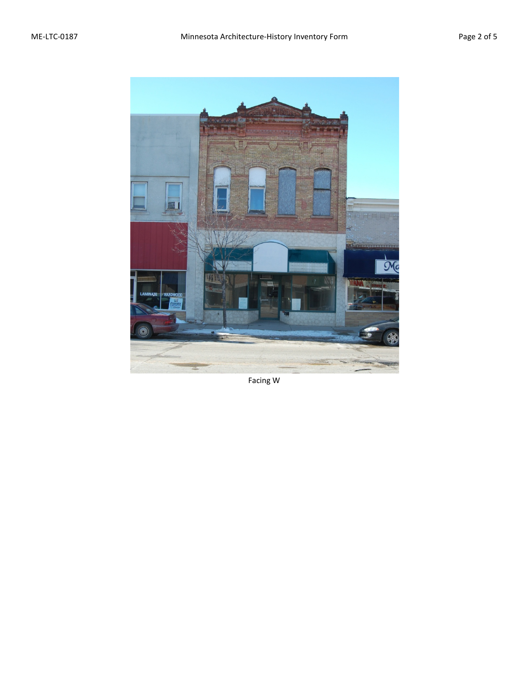

Facing W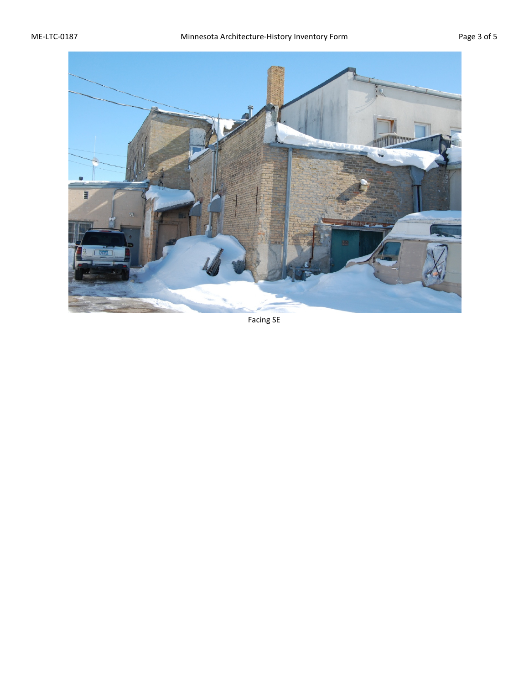

Facing SE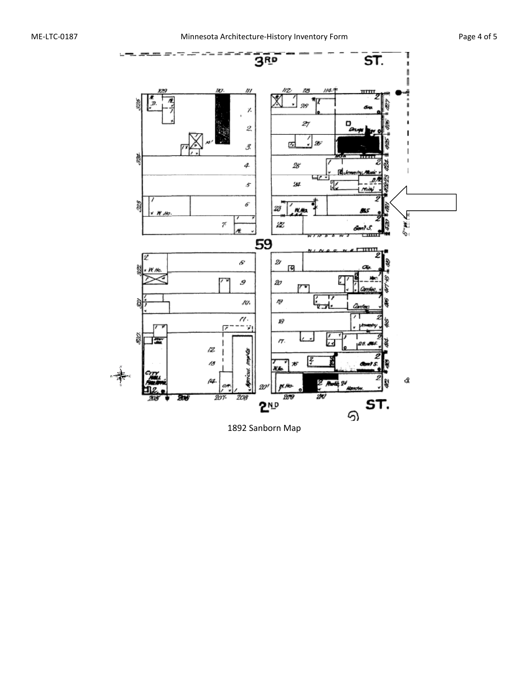